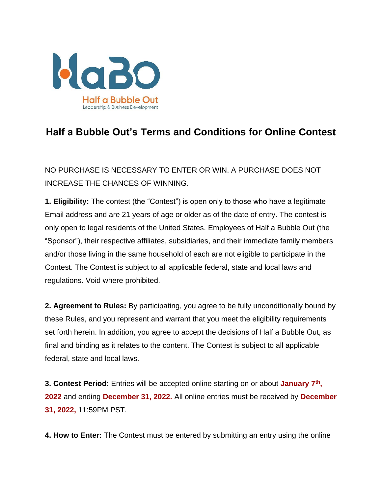

## **Half a Bubble Out's Terms and Conditions for Online Contest**

NO PURCHASE IS NECESSARY TO ENTER OR WIN. A PURCHASE DOES NOT INCREASE THE CHANCES OF WINNING.

**1. Eligibility:** The contest (the "Contest") is open only to those who have a legitimate Email address and are 21 years of age or older as of the date of entry. The contest is only open to legal residents of the United States. Employees of Half a Bubble Out (the "Sponsor"), their respective affiliates, subsidiaries, and their immediate family members and/or those living in the same household of each are not eligible to participate in the Contest. The Contest is subject to all applicable federal, state and local laws and regulations. Void where prohibited.

**2. Agreement to Rules:** By participating, you agree to be fully unconditionally bound by these Rules, and you represent and warrant that you meet the eligibility requirements set forth herein. In addition, you agree to accept the decisions of Half a Bubble Out, as final and binding as it relates to the content. The Contest is subject to all applicable federal, state and local laws.

**3. Contest Period:** Entries will be accepted online starting on or about **January 7th , 2022** and ending **December 31, 2022.** All online entries must be received by **December 31, 2022,** 11:59PM PST.

**4. How to Enter:** The Contest must be entered by submitting an entry using the online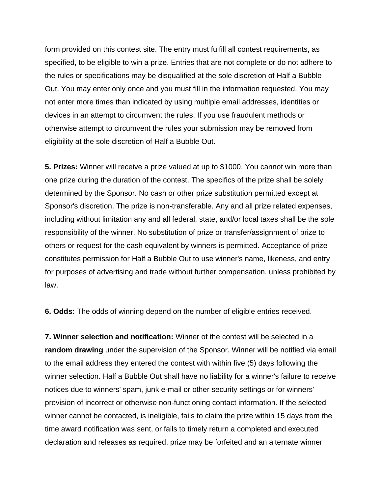form provided on this contest site. The entry must fulfill all contest requirements, as specified, to be eligible to win a prize. Entries that are not complete or do not adhere to the rules or specifications may be disqualified at the sole discretion of Half a Bubble Out. You may enter only once and you must fill in the information requested. You may not enter more times than indicated by using multiple email addresses, identities or devices in an attempt to circumvent the rules. If you use fraudulent methods or otherwise attempt to circumvent the rules your submission may be removed from eligibility at the sole discretion of Half a Bubble Out.

**5. Prizes:** Winner will receive a prize valued at up to \$1000. You cannot win more than one prize during the duration of the contest. The specifics of the prize shall be solely determined by the Sponsor. No cash or other prize substitution permitted except at Sponsor's discretion. The prize is non-transferable. Any and all prize related expenses, including without limitation any and all federal, state, and/or local taxes shall be the sole responsibility of the winner. No substitution of prize or transfer/assignment of prize to others or request for the cash equivalent by winners is permitted. Acceptance of prize constitutes permission for Half a Bubble Out to use winner's name, likeness, and entry for purposes of advertising and trade without further compensation, unless prohibited by law.

**6. Odds:** The odds of winning depend on the number of eligible entries received.

**7. Winner selection and notification:** Winner of the contest will be selected in a **random drawing** under the supervision of the Sponsor. Winner will be notified via email to the email address they entered the contest with within five (5) days following the winner selection. Half a Bubble Out shall have no liability for a winner's failure to receive notices due to winners' spam, junk e-mail or other security settings or for winners' provision of incorrect or otherwise non-functioning contact information. If the selected winner cannot be contacted, is ineligible, fails to claim the prize within 15 days from the time award notification was sent, or fails to timely return a completed and executed declaration and releases as required, prize may be forfeited and an alternate winner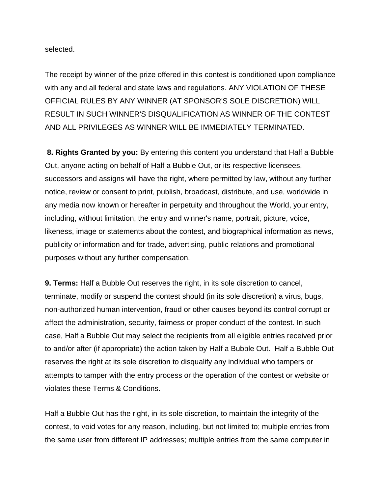selected.

The receipt by winner of the prize offered in this contest is conditioned upon compliance with any and all federal and state laws and regulations. ANY VIOLATION OF THESE OFFICIAL RULES BY ANY WINNER (AT SPONSOR'S SOLE DISCRETION) WILL RESULT IN SUCH WINNER'S DISQUALIFICATION AS WINNER OF THE CONTEST AND ALL PRIVILEGES AS WINNER WILL BE IMMEDIATELY TERMINATED.

**8. Rights Granted by you:** By entering this content you understand that Half a Bubble Out, anyone acting on behalf of Half a Bubble Out, or its respective licensees, successors and assigns will have the right, where permitted by law, without any further notice, review or consent to print, publish, broadcast, distribute, and use, worldwide in any media now known or hereafter in perpetuity and throughout the World, your entry, including, without limitation, the entry and winner's name, portrait, picture, voice, likeness, image or statements about the contest, and biographical information as news, publicity or information and for trade, advertising, public relations and promotional purposes without any further compensation.

**9. Terms:** Half a Bubble Out reserves the right, in its sole discretion to cancel, terminate, modify or suspend the contest should (in its sole discretion) a virus, bugs, non-authorized human intervention, fraud or other causes beyond its control corrupt or affect the administration, security, fairness or proper conduct of the contest. In such case, Half a Bubble Out may select the recipients from all eligible entries received prior to and/or after (if appropriate) the action taken by Half a Bubble Out. Half a Bubble Out reserves the right at its sole discretion to disqualify any individual who tampers or attempts to tamper with the entry process or the operation of the contest or website or violates these Terms & Conditions.

Half a Bubble Out has the right, in its sole discretion, to maintain the integrity of the contest, to void votes for any reason, including, but not limited to; multiple entries from the same user from different IP addresses; multiple entries from the same computer in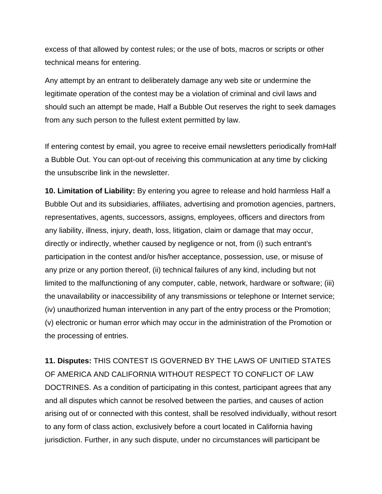excess of that allowed by contest rules; or the use of bots, macros or scripts or other technical means for entering.

Any attempt by an entrant to deliberately damage any web site or undermine the legitimate operation of the contest may be a violation of criminal and civil laws and should such an attempt be made, Half a Bubble Out reserves the right to seek damages from any such person to the fullest extent permitted by law.

If entering contest by email, you agree to receive email newsletters periodically fromHalf a Bubble Out. You can opt-out of receiving this communication at any time by clicking the unsubscribe link in the newsletter.

**10. Limitation of Liability:** By entering you agree to release and hold harmless Half a Bubble Out and its subsidiaries, affiliates, advertising and promotion agencies, partners, representatives, agents, successors, assigns, employees, officers and directors from any liability, illness, injury, death, loss, litigation, claim or damage that may occur, directly or indirectly, whether caused by negligence or not, from (i) such entrant's participation in the contest and/or his/her acceptance, possession, use, or misuse of any prize or any portion thereof, (ii) technical failures of any kind, including but not limited to the malfunctioning of any computer, cable, network, hardware or software; (iii) the unavailability or inaccessibility of any transmissions or telephone or Internet service; (iv) unauthorized human intervention in any part of the entry process or the Promotion; (v) electronic or human error which may occur in the administration of the Promotion or the processing of entries.

**11. Disputes:** THIS CONTEST IS GOVERNED BY THE LAWS OF UNITIED STATES OF AMERICA AND CALIFORNIA WITHOUT RESPECT TO CONFLICT OF LAW DOCTRINES. As a condition of participating in this contest, participant agrees that any and all disputes which cannot be resolved between the parties, and causes of action arising out of or connected with this contest, shall be resolved individually, without resort to any form of class action, exclusively before a court located in California having jurisdiction. Further, in any such dispute, under no circumstances will participant be